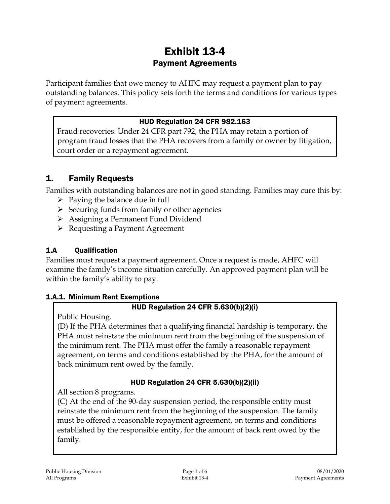# Exhibit 13-4 Payment Agreements

Participant families that owe money to AHFC may request a payment plan to pay outstanding balances. This policy sets forth the terms and conditions for various types of payment agreements.

#### HUD Regulation 24 CFR 982.163

Fraud recoveries. Under 24 CFR part 792, the PHA may retain a portion of program fraud losses that the PHA recovers from a family or owner by litigation, court order or a repayment agreement.

# 1. Family Requests

Families with outstanding balances are not in good standing. Families may cure this by:

- $\triangleright$  Paying the balance due in full
- $\triangleright$  Securing funds from family or other agencies
- Assigning a Permanent Fund Dividend
- Requesting a Payment Agreement

# 1.A Qualification

Families must request a payment agreement. Once a request is made, AHFC will examine the family's income situation carefully. An approved payment plan will be within the family's ability to pay.

### 1.A.1. Minimum Rent Exemptions

### HUD Regulation 24 CFR 5.630(b)(2)(i)

Public Housing.

(D) If the PHA determines that a qualifying financial hardship is temporary, the PHA must reinstate the minimum rent from the beginning of the suspension of the minimum rent. The PHA must offer the family a reasonable repayment agreement, on terms and conditions established by the PHA, for the amount of back minimum rent owed by the family.

### HUD Regulation 24 CFR 5.630(b)(2)(ii)

All section 8 programs.

(C) At the end of the 90-day suspension period, the responsible entity must reinstate the minimum rent from the beginning of the suspension. The family must be offered a reasonable repayment agreement, on terms and conditions established by the responsible entity, for the amount of back rent owed by the family.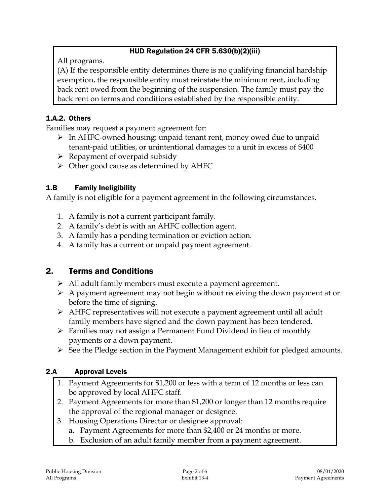# HUD Regulation 24 CFR 5.630(b)(2)(iii)

All programs.

(A) If the responsible entity determines there is no qualifying financial hardship exemption, the responsible entity must reinstate the minimum rent, including back rent owed from the beginning of the suspension. The family must pay the back rent on terms and conditions established by the responsible entity.

# 1.A.2. Others

Families may request a payment agreement for:

- $\triangleright$  In AHFC-owned housing: unpaid tenant rent, money owed due to unpaid tenant-paid utilities, or unintentional damages to a unit in excess of \$400
- $\triangleright$  Repayment of overpaid subsidy
- $\triangleright$  Other good cause as determined by AHFC

# 1.B Family Ineligibility

A family is not eligible for a payment agreement in the following circumstances.

- 1. A family is not a current participant family.
- 2. A family's debt is with an AHFC collection agent.
- 3. A family has a pending termination or eviction action.
- 4. A family has a current or unpaid payment agreement.

# 2. Terms and Conditions

- All adult family members must execute a payment agreement.
- $\triangleright$  A payment agreement may not begin without receiving the down payment at or before the time of signing.
- AHFC representatives will not execute a payment agreement until all adult family members have signed and the down payment has been tendered.
- Families may not assign a Permanent Fund Dividend in lieu of monthly payments or a down payment.
- $\triangleright$  See the Pledge section in the Payment Management exhibit for pledged amounts.

### 2.A Approval Levels

- 1. Payment Agreements for \$1,200 or less with a term of 12 months or less can be approved by local AHFC staff.
- 2. Payment Agreements for more than \$1,200 or longer than 12 months require the approval of the regional manager or designee.
- 3. Housing Operations Director or designee approval:
	- a. Payment Agreements for more than \$2,400 or 24 months or more.
	- b. Exclusion of an adult family member from a payment agreement.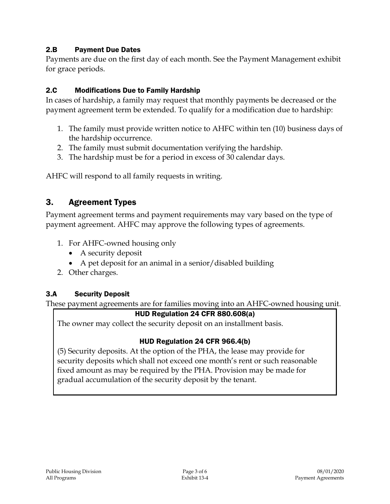### 2.B Payment Due Dates

Payments are due on the first day of each month. See the Payment Management exhibit for grace periods.

# 2.C Modifications Due to Family Hardship

In cases of hardship, a family may request that monthly payments be decreased or the payment agreement term be extended. To qualify for a modification due to hardship:

- 1. The family must provide written notice to AHFC within ten (10) business days of the hardship occurrence.
- 2. The family must submit documentation verifying the hardship.
- 3. The hardship must be for a period in excess of 30 calendar days.

AHFC will respond to all family requests in writing.

# 3. Agreement Types

Payment agreement terms and payment requirements may vary based on the type of payment agreement. AHFC may approve the following types of agreements.

- 1. For AHFC-owned housing only
	- A security deposit
	- A pet deposit for an animal in a senior/disabled building
- 2. Other charges.

### 3.A Security Deposit

These payment agreements are for families moving into an AHFC-owned housing unit.

### HUD Regulation 24 CFR 880.608(a)

The owner may collect the security deposit on an installment basis.

### HUD Regulation 24 CFR 966.4(b)

(5) Security deposits. At the option of the PHA, the lease may provide for security deposits which shall not exceed one month's rent or such reasonable fixed amount as may be required by the PHA. Provision may be made for gradual accumulation of the security deposit by the tenant.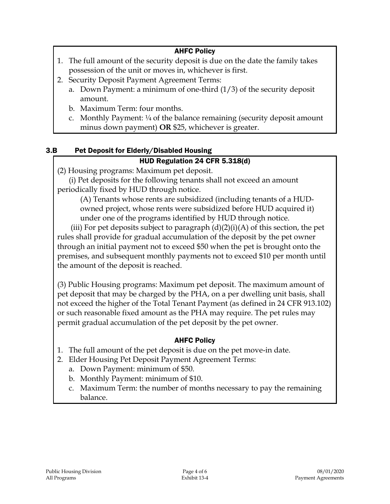# AHFC Policy

- 1. The full amount of the security deposit is due on the date the family takes possession of the unit or moves in, whichever is first.
- 2. Security Deposit Payment Agreement Terms:
	- a. Down Payment: a minimum of one-third (1/3) of the security deposit amount.
	- b. Maximum Term: four months.
	- c. Monthly Payment:  $\frac{1}{4}$  of the balance remaining (security deposit amount minus down payment) **OR** \$25, whichever is greater.

# 3.B Pet Deposit for Elderly/Disabled Housing

### HUD Regulation 24 CFR 5.318(d)

(2) Housing programs: Maximum pet deposit.

(i) Pet deposits for the following tenants shall not exceed an amount periodically fixed by HUD through notice.

(A) Tenants whose rents are subsidized (including tenants of a HUDowned project, whose rents were subsidized before HUD acquired it) under one of the programs identified by HUD through notice.

(iii) For pet deposits subject to paragraph  $(d)(2)(i)(A)$  of this section, the pet rules shall provide for gradual accumulation of the deposit by the pet owner through an initial payment not to exceed \$50 when the pet is brought onto the premises, and subsequent monthly payments not to exceed \$10 per month until the amount of the deposit is reached.

(3) Public Housing programs: Maximum pet deposit. The maximum amount of pet deposit that may be charged by the PHA, on a per dwelling unit basis, shall not exceed the higher of the Total Tenant Payment (as defined in 24 CFR 913.102) or such reasonable fixed amount as the PHA may require. The pet rules may permit gradual accumulation of the pet deposit by the pet owner.

### AHFC Policy

- 1. The full amount of the pet deposit is due on the pet move-in date.
- 2. Elder Housing Pet Deposit Payment Agreement Terms:
	- a. Down Payment: minimum of \$50.
	- b. Monthly Payment: minimum of \$10.
	- c. Maximum Term: the number of months necessary to pay the remaining balance.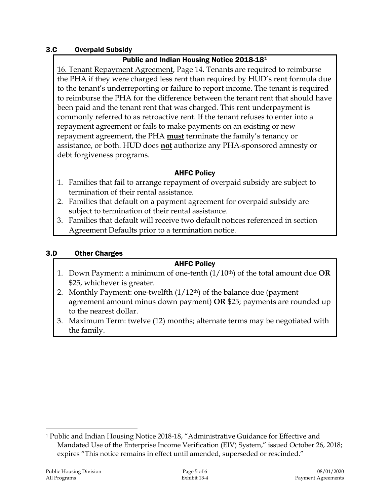#### 3.C Overpaid Subsidy

#### Public and Indian Housing Notice 2018-18[1](#page-4-0)

16. Tenant Repayment Agreement, Page 14. Tenants are required to reimburse the PHA if they were charged less rent than required by HUD's rent formula due to the tenant's underreporting or failure to report income. The tenant is required to reimburse the PHA for the difference between the tenant rent that should have been paid and the tenant rent that was charged. This rent underpayment is commonly referred to as retroactive rent. If the tenant refuses to enter into a repayment agreement or fails to make payments on an existing or new repayment agreement, the PHA **must** terminate the family's tenancy or assistance, or both. HUD does **not** authorize any PHA-sponsored amnesty or debt forgiveness programs.

#### AHFC Policy

- 1. Families that fail to arrange repayment of overpaid subsidy are subject to termination of their rental assistance.
- 2. Families that default on a payment agreement for overpaid subsidy are subject to termination of their rental assistance.
- 3. Families that default will receive two default notices referenced in section Agreement Defaults prior to a termination notice.

#### 3.D Other Charges

#### AHFC Policy

- 1. Down Payment: a minimum of one-tenth (1/10th) of the total amount due **OR** \$25, whichever is greater.
- 2. Monthly Payment: one-twelfth  $(1/12<sup>th</sup>)$  of the balance due (payment agreement amount minus down payment) **OR** \$25; payments are rounded up to the nearest dollar.
- 3. Maximum Term: twelve (12) months; alternate terms may be negotiated with the family.

<span id="page-4-0"></span> <sup>1</sup> Public and Indian Housing Notice 2018-18, "Administrative Guidance for Effective and Mandated Use of the Enterprise Income Verification (EIV) System," issued October 26, 2018; expires "This notice remains in effect until amended, superseded or rescinded."